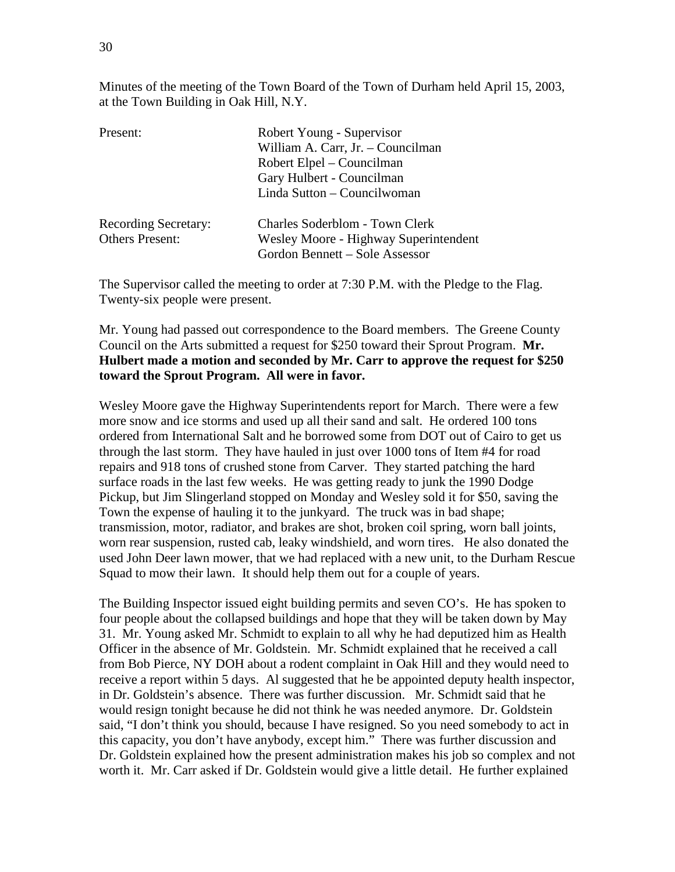Minutes of the meeting of the Town Board of the Town of Durham held April 15, 2003, at the Town Building in Oak Hill, N.Y.

| Present:                    | Robert Young - Supervisor             |  |
|-----------------------------|---------------------------------------|--|
|                             | William A. Carr, Jr. - Councilman     |  |
|                             | Robert Elpel – Councilman             |  |
|                             | Gary Hulbert - Councilman             |  |
|                             | Linda Sutton - Councilwoman           |  |
| <b>Recording Secretary:</b> | Charles Soderblom - Town Clerk        |  |
| <b>Others Present:</b>      | Wesley Moore - Highway Superintendent |  |
|                             | Gordon Bennett – Sole Assessor        |  |

The Supervisor called the meeting to order at 7:30 P.M. with the Pledge to the Flag. Twenty-six people were present.

Mr. Young had passed out correspondence to the Board members. The Greene County Council on the Arts submitted a request for \$250 toward their Sprout Program. **Mr. Hulbert made a motion and seconded by Mr. Carr to approve the request for \$250 toward the Sprout Program. All were in favor.** 

Wesley Moore gave the Highway Superintendents report for March. There were a few more snow and ice storms and used up all their sand and salt. He ordered 100 tons ordered from International Salt and he borrowed some from DOT out of Cairo to get us through the last storm. They have hauled in just over 1000 tons of Item #4 for road repairs and 918 tons of crushed stone from Carver. They started patching the hard surface roads in the last few weeks. He was getting ready to junk the 1990 Dodge Pickup, but Jim Slingerland stopped on Monday and Wesley sold it for \$50, saving the Town the expense of hauling it to the junkyard. The truck was in bad shape; transmission, motor, radiator, and brakes are shot, broken coil spring, worn ball joints, worn rear suspension, rusted cab, leaky windshield, and worn tires. He also donated the used John Deer lawn mower, that we had replaced with a new unit, to the Durham Rescue Squad to mow their lawn. It should help them out for a couple of years.

The Building Inspector issued eight building permits and seven CO's. He has spoken to four people about the collapsed buildings and hope that they will be taken down by May 31. Mr. Young asked Mr. Schmidt to explain to all why he had deputized him as Health Officer in the absence of Mr. Goldstein. Mr. Schmidt explained that he received a call from Bob Pierce, NY DOH about a rodent complaint in Oak Hill and they would need to receive a report within 5 days. Al suggested that he be appointed deputy health inspector, in Dr. Goldstein's absence. There was further discussion. Mr. Schmidt said that he would resign tonight because he did not think he was needed anymore. Dr. Goldstein said, "I don't think you should, because I have resigned. So you need somebody to act in this capacity, you don't have anybody, except him." There was further discussion and Dr. Goldstein explained how the present administration makes his job so complex and not worth it. Mr. Carr asked if Dr. Goldstein would give a little detail. He further explained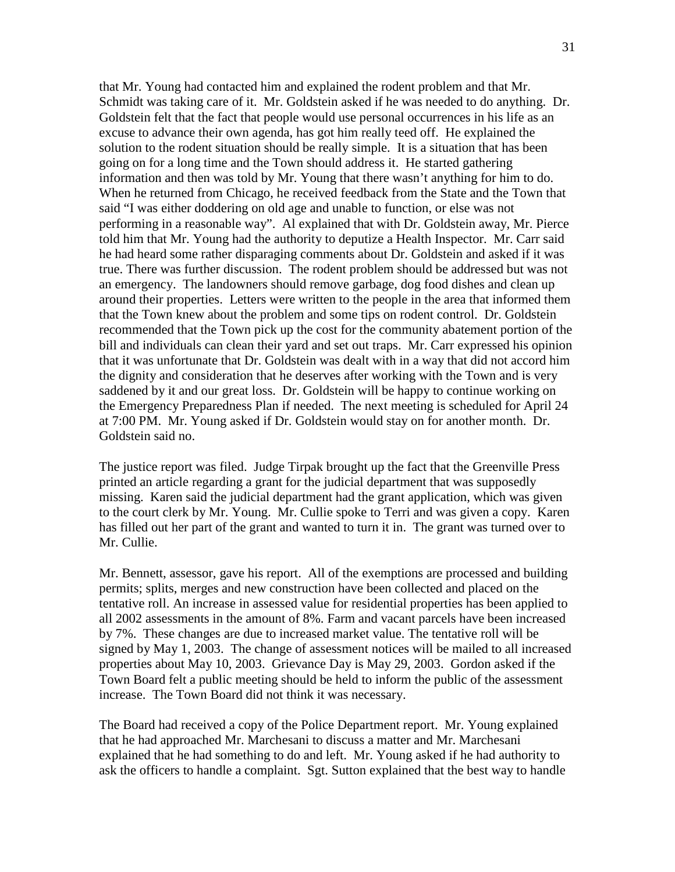that Mr. Young had contacted him and explained the rodent problem and that Mr. Schmidt was taking care of it. Mr. Goldstein asked if he was needed to do anything. Dr. Goldstein felt that the fact that people would use personal occurrences in his life as an excuse to advance their own agenda, has got him really teed off. He explained the solution to the rodent situation should be really simple. It is a situation that has been going on for a long time and the Town should address it. He started gathering information and then was told by Mr. Young that there wasn't anything for him to do. When he returned from Chicago, he received feedback from the State and the Town that said "I was either doddering on old age and unable to function, or else was not performing in a reasonable way". Al explained that with Dr. Goldstein away, Mr. Pierce told him that Mr. Young had the authority to deputize a Health Inspector. Mr. Carr said he had heard some rather disparaging comments about Dr. Goldstein and asked if it was true. There was further discussion. The rodent problem should be addressed but was not an emergency. The landowners should remove garbage, dog food dishes and clean up around their properties. Letters were written to the people in the area that informed them that the Town knew about the problem and some tips on rodent control. Dr. Goldstein recommended that the Town pick up the cost for the community abatement portion of the bill and individuals can clean their yard and set out traps. Mr. Carr expressed his opinion that it was unfortunate that Dr. Goldstein was dealt with in a way that did not accord him the dignity and consideration that he deserves after working with the Town and is very saddened by it and our great loss. Dr. Goldstein will be happy to continue working on the Emergency Preparedness Plan if needed. The next meeting is scheduled for April 24 at 7:00 PM. Mr. Young asked if Dr. Goldstein would stay on for another month. Dr. Goldstein said no.

The justice report was filed. Judge Tirpak brought up the fact that the Greenville Press printed an article regarding a grant for the judicial department that was supposedly missing. Karen said the judicial department had the grant application, which was given to the court clerk by Mr. Young. Mr. Cullie spoke to Terri and was given a copy. Karen has filled out her part of the grant and wanted to turn it in. The grant was turned over to Mr. Cullie.

Mr. Bennett, assessor, gave his report. All of the exemptions are processed and building permits; splits, merges and new construction have been collected and placed on the tentative roll. An increase in assessed value for residential properties has been applied to all 2002 assessments in the amount of 8%. Farm and vacant parcels have been increased by 7%. These changes are due to increased market value. The tentative roll will be signed by May 1, 2003. The change of assessment notices will be mailed to all increased properties about May 10, 2003. Grievance Day is May 29, 2003. Gordon asked if the Town Board felt a public meeting should be held to inform the public of the assessment increase. The Town Board did not think it was necessary.

The Board had received a copy of the Police Department report. Mr. Young explained that he had approached Mr. Marchesani to discuss a matter and Mr. Marchesani explained that he had something to do and left. Mr. Young asked if he had authority to ask the officers to handle a complaint. Sgt. Sutton explained that the best way to handle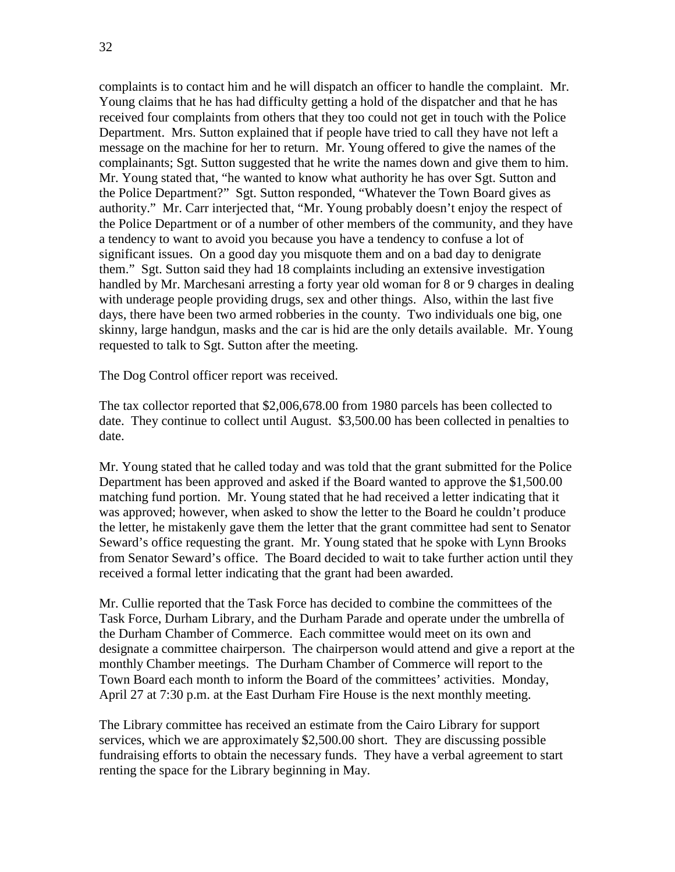complaints is to contact him and he will dispatch an officer to handle the complaint. Mr. Young claims that he has had difficulty getting a hold of the dispatcher and that he has received four complaints from others that they too could not get in touch with the Police Department. Mrs. Sutton explained that if people have tried to call they have not left a message on the machine for her to return. Mr. Young offered to give the names of the complainants; Sgt. Sutton suggested that he write the names down and give them to him. Mr. Young stated that, "he wanted to know what authority he has over Sgt. Sutton and the Police Department?" Sgt. Sutton responded, "Whatever the Town Board gives as authority." Mr. Carr interjected that, "Mr. Young probably doesn't enjoy the respect of the Police Department or of a number of other members of the community, and they have a tendency to want to avoid you because you have a tendency to confuse a lot of significant issues. On a good day you misquote them and on a bad day to denigrate them." Sgt. Sutton said they had 18 complaints including an extensive investigation handled by Mr. Marchesani arresting a forty year old woman for 8 or 9 charges in dealing with underage people providing drugs, sex and other things. Also, within the last five days, there have been two armed robberies in the county. Two individuals one big, one skinny, large handgun, masks and the car is hid are the only details available. Mr. Young requested to talk to Sgt. Sutton after the meeting.

The Dog Control officer report was received.

The tax collector reported that \$2,006,678.00 from 1980 parcels has been collected to date. They continue to collect until August. \$3,500.00 has been collected in penalties to date.

Mr. Young stated that he called today and was told that the grant submitted for the Police Department has been approved and asked if the Board wanted to approve the \$1,500.00 matching fund portion. Mr. Young stated that he had received a letter indicating that it was approved; however, when asked to show the letter to the Board he couldn't produce the letter, he mistakenly gave them the letter that the grant committee had sent to Senator Seward's office requesting the grant. Mr. Young stated that he spoke with Lynn Brooks from Senator Seward's office. The Board decided to wait to take further action until they received a formal letter indicating that the grant had been awarded.

Mr. Cullie reported that the Task Force has decided to combine the committees of the Task Force, Durham Library, and the Durham Parade and operate under the umbrella of the Durham Chamber of Commerce. Each committee would meet on its own and designate a committee chairperson. The chairperson would attend and give a report at the monthly Chamber meetings. The Durham Chamber of Commerce will report to the Town Board each month to inform the Board of the committees' activities. Monday, April 27 at 7:30 p.m. at the East Durham Fire House is the next monthly meeting.

The Library committee has received an estimate from the Cairo Library for support services, which we are approximately \$2,500.00 short. They are discussing possible fundraising efforts to obtain the necessary funds. They have a verbal agreement to start renting the space for the Library beginning in May.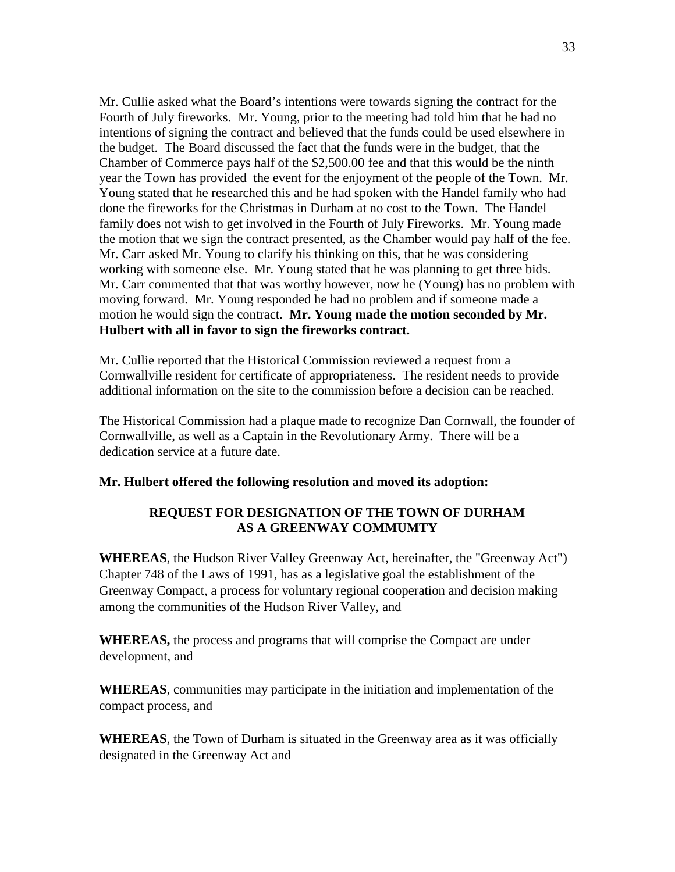Mr. Cullie asked what the Board's intentions were towards signing the contract for the Fourth of July fireworks. Mr. Young, prior to the meeting had told him that he had no intentions of signing the contract and believed that the funds could be used elsewhere in the budget. The Board discussed the fact that the funds were in the budget, that the Chamber of Commerce pays half of the \$2,500.00 fee and that this would be the ninth year the Town has provided the event for the enjoyment of the people of the Town. Mr. Young stated that he researched this and he had spoken with the Handel family who had done the fireworks for the Christmas in Durham at no cost to the Town. The Handel family does not wish to get involved in the Fourth of July Fireworks. Mr. Young made the motion that we sign the contract presented, as the Chamber would pay half of the fee. Mr. Carr asked Mr. Young to clarify his thinking on this, that he was considering working with someone else. Mr. Young stated that he was planning to get three bids. Mr. Carr commented that that was worthy however, now he (Young) has no problem with moving forward. Mr. Young responded he had no problem and if someone made a motion he would sign the contract. **Mr. Young made the motion seconded by Mr. Hulbert with all in favor to sign the fireworks contract.**

Mr. Cullie reported that the Historical Commission reviewed a request from a Cornwallville resident for certificate of appropriateness. The resident needs to provide additional information on the site to the commission before a decision can be reached.

The Historical Commission had a plaque made to recognize Dan Cornwall, the founder of Cornwallville, as well as a Captain in the Revolutionary Army. There will be a dedication service at a future date.

## **Mr. Hulbert offered the following resolution and moved its adoption:**

## **REQUEST FOR DESIGNATION OF THE TOWN OF DURHAM AS A GREENWAY COMMUMTY**

**WHEREAS**, the Hudson River Valley Greenway Act, hereinafter, the "Greenway Act") Chapter 748 of the Laws of 1991, has as a legislative goal the establishment of the Greenway Compact, a process for voluntary regional cooperation and decision making among the communities of the Hudson River Valley, and

**WHEREAS,** the process and programs that will comprise the Compact are under development, and

**WHEREAS**, communities may participate in the initiation and implementation of the compact process, and

**WHEREAS**, the Town of Durham is situated in the Greenway area as it was officially designated in the Greenway Act and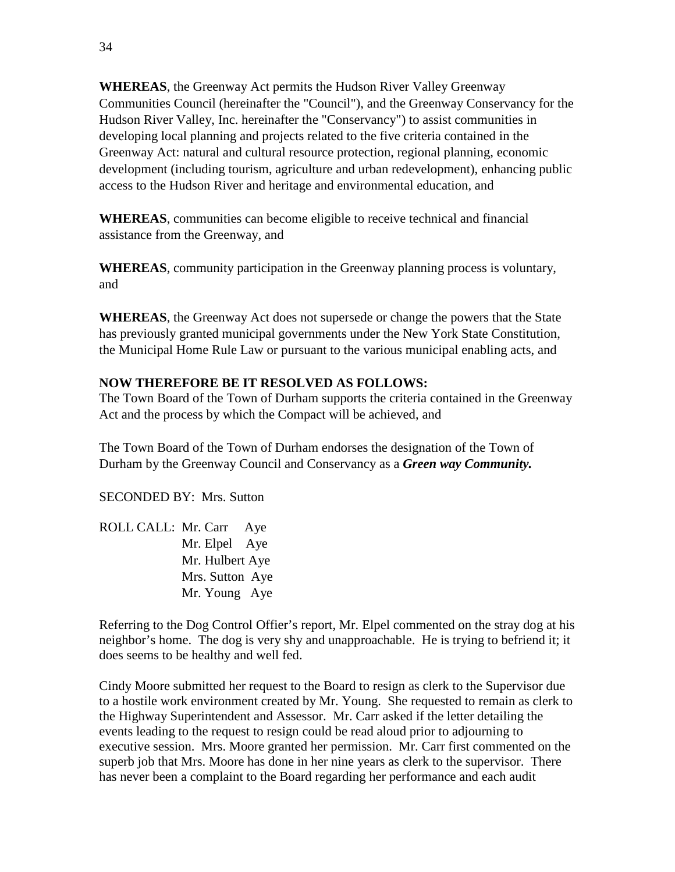**WHEREAS**, the Greenway Act permits the Hudson River Valley Greenway Communities Council (hereinafter the "Council"), and the Greenway Conservancy for the Hudson River Valley, Inc. hereinafter the "Conservancy") to assist communities in developing local planning and projects related to the five criteria contained in the Greenway Act: natural and cultural resource protection, regional planning, economic development (including tourism, agriculture and urban redevelopment), enhancing public access to the Hudson River and heritage and environmental education, and

**WHEREAS**, communities can become eligible to receive technical and financial assistance from the Greenway, and

**WHEREAS**, community participation in the Greenway planning process is voluntary, and

**WHEREAS**, the Greenway Act does not supersede or change the powers that the State has previously granted municipal governments under the New York State Constitution, the Municipal Home Rule Law or pursuant to the various municipal enabling acts, and

## **NOW THEREFORE BE IT RESOLVED AS FOLLOWS:**

The Town Board of the Town of Durham supports the criteria contained in the Greenway Act and the process by which the Compact will be achieved, and

The Town Board of the Town of Durham endorses the designation of the Town of Durham by the Greenway Council and Conservancy as a *Green way Community.*

SECONDED BY: Mrs. Sutton

ROLL CALL: Mr. Carr Aye Mr. Elpel Aye Mr. Hulbert Aye Mrs. Sutton Aye Mr. Young Aye

Referring to the Dog Control Offier's report, Mr. Elpel commented on the stray dog at his neighbor's home. The dog is very shy and unapproachable. He is trying to befriend it; it does seems to be healthy and well fed.

Cindy Moore submitted her request to the Board to resign as clerk to the Supervisor due to a hostile work environment created by Mr. Young. She requested to remain as clerk to the Highway Superintendent and Assessor. Mr. Carr asked if the letter detailing the events leading to the request to resign could be read aloud prior to adjourning to executive session. Mrs. Moore granted her permission. Mr. Carr first commented on the superb job that Mrs. Moore has done in her nine years as clerk to the supervisor. There has never been a complaint to the Board regarding her performance and each audit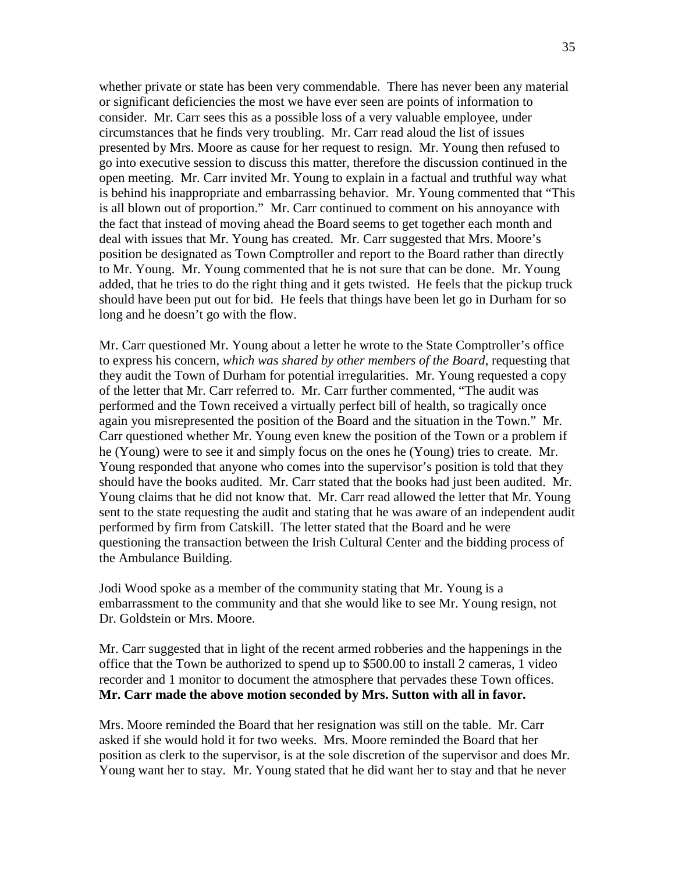whether private or state has been very commendable. There has never been any material or significant deficiencies the most we have ever seen are points of information to consider. Mr. Carr sees this as a possible loss of a very valuable employee, under circumstances that he finds very troubling. Mr. Carr read aloud the list of issues presented by Mrs. Moore as cause for her request to resign. Mr. Young then refused to go into executive session to discuss this matter, therefore the discussion continued in the open meeting. Mr. Carr invited Mr. Young to explain in a factual and truthful way what is behind his inappropriate and embarrassing behavior. Mr. Young commented that "This is all blown out of proportion." Mr. Carr continued to comment on his annoyance with the fact that instead of moving ahead the Board seems to get together each month and deal with issues that Mr. Young has created. Mr. Carr suggested that Mrs. Moore's position be designated as Town Comptroller and report to the Board rather than directly to Mr. Young. Mr. Young commented that he is not sure that can be done. Mr. Young added, that he tries to do the right thing and it gets twisted. He feels that the pickup truck should have been put out for bid. He feels that things have been let go in Durham for so long and he doesn't go with the flow.

Mr. Carr questioned Mr. Young about a letter he wrote to the State Comptroller's office to express his concern, *which was shared by other members of the Board*, requesting that they audit the Town of Durham for potential irregularities. Mr. Young requested a copy of the letter that Mr. Carr referred to. Mr. Carr further commented, "The audit was performed and the Town received a virtually perfect bill of health, so tragically once again you misrepresented the position of the Board and the situation in the Town." Mr. Carr questioned whether Mr. Young even knew the position of the Town or a problem if he (Young) were to see it and simply focus on the ones he (Young) tries to create. Mr. Young responded that anyone who comes into the supervisor's position is told that they should have the books audited. Mr. Carr stated that the books had just been audited. Mr. Young claims that he did not know that. Mr. Carr read allowed the letter that Mr. Young sent to the state requesting the audit and stating that he was aware of an independent audit performed by firm from Catskill. The letter stated that the Board and he were questioning the transaction between the Irish Cultural Center and the bidding process of the Ambulance Building.

Jodi Wood spoke as a member of the community stating that Mr. Young is a embarrassment to the community and that she would like to see Mr. Young resign, not Dr. Goldstein or Mrs. Moore.

Mr. Carr suggested that in light of the recent armed robberies and the happenings in the office that the Town be authorized to spend up to \$500.00 to install 2 cameras, 1 video recorder and 1 monitor to document the atmosphere that pervades these Town offices. **Mr. Carr made the above motion seconded by Mrs. Sutton with all in favor.** 

Mrs. Moore reminded the Board that her resignation was still on the table. Mr. Carr asked if she would hold it for two weeks. Mrs. Moore reminded the Board that her position as clerk to the supervisor, is at the sole discretion of the supervisor and does Mr. Young want her to stay. Mr. Young stated that he did want her to stay and that he never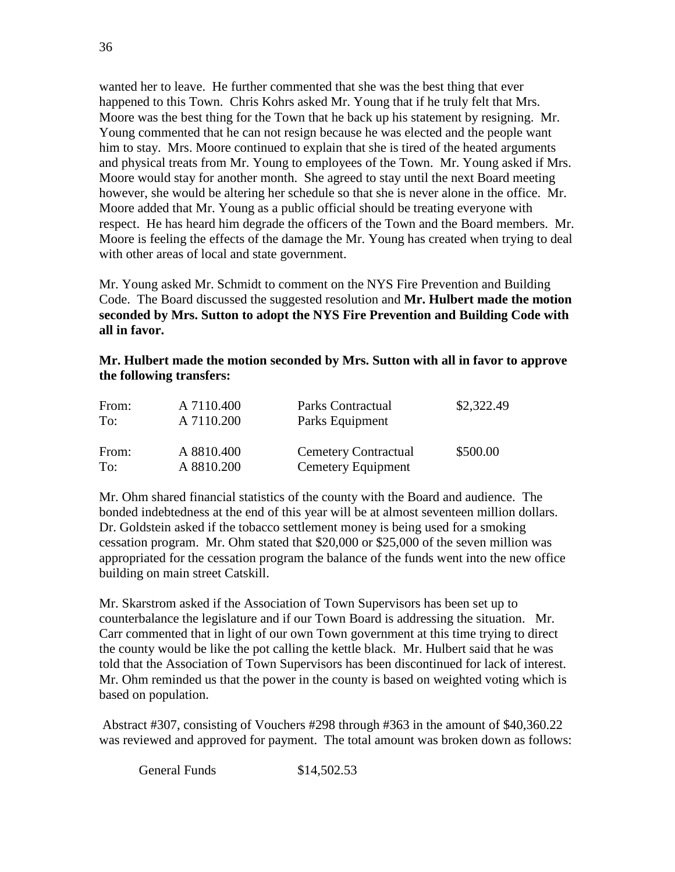wanted her to leave. He further commented that she was the best thing that ever happened to this Town. Chris Kohrs asked Mr. Young that if he truly felt that Mrs. Moore was the best thing for the Town that he back up his statement by resigning. Mr. Young commented that he can not resign because he was elected and the people want him to stay. Mrs. Moore continued to explain that she is tired of the heated arguments and physical treats from Mr. Young to employees of the Town. Mr. Young asked if Mrs. Moore would stay for another month. She agreed to stay until the next Board meeting however, she would be altering her schedule so that she is never alone in the office. Mr. Moore added that Mr. Young as a public official should be treating everyone with respect. He has heard him degrade the officers of the Town and the Board members. Mr. Moore is feeling the effects of the damage the Mr. Young has created when trying to deal with other areas of local and state government.

Mr. Young asked Mr. Schmidt to comment on the NYS Fire Prevention and Building Code. The Board discussed the suggested resolution and **Mr. Hulbert made the motion seconded by Mrs. Sutton to adopt the NYS Fire Prevention and Building Code with all in favor.** 

## **Mr. Hulbert made the motion seconded by Mrs. Sutton with all in favor to approve the following transfers:**

| From: | A 7110.400 | Parks Contractual           | \$2,322.49 |
|-------|------------|-----------------------------|------------|
| To:   | A 7110.200 | Parks Equipment             |            |
| From: | A 8810.400 | <b>Cemetery Contractual</b> | \$500.00   |
| To:   | A 8810.200 | Cemetery Equipment          |            |

Mr. Ohm shared financial statistics of the county with the Board and audience. The bonded indebtedness at the end of this year will be at almost seventeen million dollars. Dr. Goldstein asked if the tobacco settlement money is being used for a smoking cessation program. Mr. Ohm stated that \$20,000 or \$25,000 of the seven million was appropriated for the cessation program the balance of the funds went into the new office building on main street Catskill.

Mr. Skarstrom asked if the Association of Town Supervisors has been set up to counterbalance the legislature and if our Town Board is addressing the situation. Mr. Carr commented that in light of our own Town government at this time trying to direct the county would be like the pot calling the kettle black. Mr. Hulbert said that he was told that the Association of Town Supervisors has been discontinued for lack of interest. Mr. Ohm reminded us that the power in the county is based on weighted voting which is based on population.

Abstract #307, consisting of Vouchers #298 through #363 in the amount of \$40,360.22 was reviewed and approved for payment. The total amount was broken down as follows:

General Funds \$14,502.53